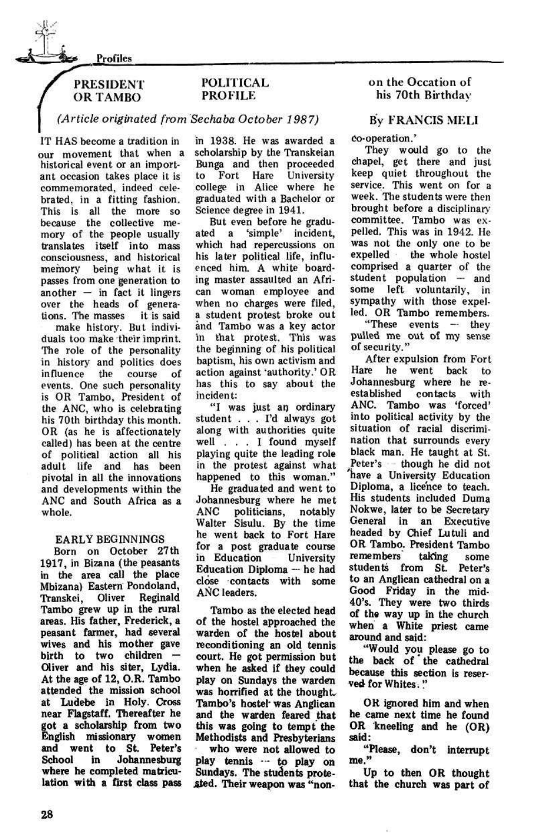*sS&S* 

Profiles



# POLITICAL PROFILE

*(Article originated from Sechaba October 1987)* 

IT HAS become a tradition in our movement that when a historical event or an important occasion takes place it is commemorated, indeed celebrated, in a fitting fashion. This is all the more so because the collective memory of the people usually translates itself into mass consciousness, and historical memory being what it is passes from one generation to another — in fact it lingers over the heads of generations. The masses it is said

make history. But individuals too make their imprint. The role of the personality in history and politics does influence the course of influence the course of<br>events. One such personality is OR Tambo, President of the ANC, who is celebrating his 70th birthday this month. OR (as he is affectionately called) has been at the centre of political action all his adult life and has been pivotal in all the innovations and developments within the ANC and South Africa as a whole.

### EARLY BEGINNINGS

Born on October 27 th 1917, in Bizana (the peasants in the area call the place Mbizana) Eastern Pondoland, Transkei, Oliver Reginald Tambo grew up in the rural areas. His father, Frederick, a peasant farmer, had several wives and his mother gave birth to two children — Oliver and his siter, Lydia. At the age of 12, O.R. Tambo attended the mission school at Ludebe in Holy. Cross near Flagstaff. Thereafter he got a scholarship from two English missionary women and went to St. Peter's School in Johannesburg where he completed matriculation with a first class pass

Tambo as the elected head of the hostel approached the warden of the hostel about reconditioning an old tennis court. He got permission but when he asked if they could play on Sundays the warden was horrified at the thought. Tambo's hostel\* was Anglican and the warden feared that this was going to tempt the Methodists and Presbyterians who were not allowed to play tennis  $\cdots$  to play on Sundays. The students protested. Their weapon was "non-

in 1938. He was awarded a scholarship by the Transkeian Bunga and then proceeded to Fort Hare University college in Alice where he graduated with a Bachelor or Science degree in 1941.

But even before he graduated a 'simple' incident, which had repercussions on his later political life, influenced him. A white boarding master assaulted an African woman employee and when no charges were filed, a student protest broke out and Tambo was a key actor in that protest. This was the beginning of his political baptism, his own activism and action against 'authority.' OR has this to say about the incident:

> "Please, don't interrupt me."

\*\*I was just an ordinary student .. . I'd always got along with authorities quite well .. . I found myself playing quite the leading role in the protest against what happened to this woman."

He graduated and went to Johannesburg where he met ANC politicians, notably Walter Sisulu. By the time he went back to Fort Hare for a post graduate course in Education University Education Diploma — he had close contacts with some ANC leaders.

## on the Occation of his 70th Birthday

# By FRANCIS MELI

### co-operation.'

They would go to the chapel, get there and just keep quiet throughout the service. This went on for a week. The students were then brought before a disciplinary committee. Tambo was expelled. This was in 1942. He was not the only one to be expelled the whole hostel comprised a quarter of the student population — and some left voluntarily, in sympathy with those expelled. OR Tambo remembers.

"These events — they pulled me out of my sense of security."

After expulsion from Fort Hare he went back to Johannesburg where he reestablished contacts with ANC. Tambo was 'forced' into political activity by the situation of racial discrimination that surrounds every black man. He taught at St. Peter's - though he did not nave a University Education Diploma, a licence to teach. His students included Duma Nokwe, later to be Secretary General in an Executive headed by Chief Lutuli and OR Tambo. President Tambo remembers taking some students from St. Peter's to an Anglican cathedral on a Good Friday in the mid-40's. They were two thirds of the way up in the church when a White priest came around and said:

"Would you please go to the back of the cathedral because this section is reserved for Whites."

OR ignored him and when he came next time he found OR kneeling and he (OR) said:

Up to then OR thought that the church was part of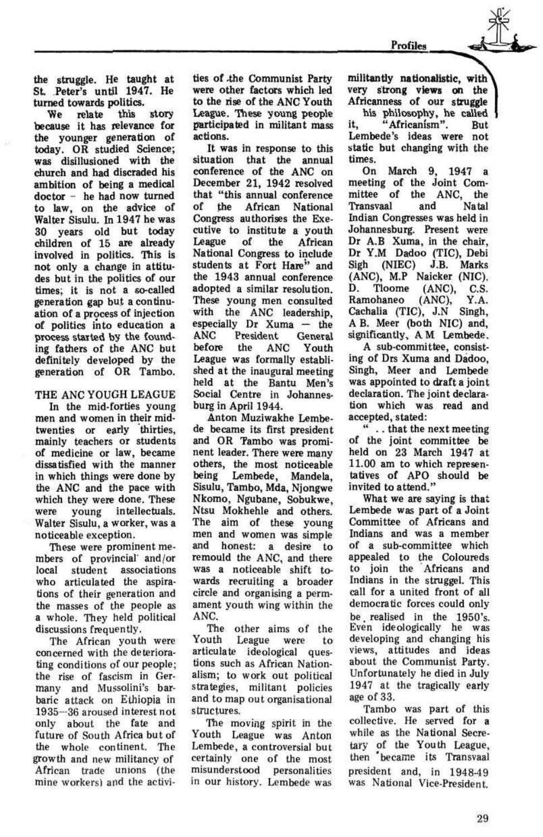the struggle. He taught at St Peter's until 1947. He turned towards politics.

We relate this story because it has relevance for the younger generation of today. OR studied Science; was disillusioned with the church and had discraded his ambition of being a medical doctor - he had now turned to law, on the advice of Walter Sisulu. In 1947 he was 30 years old but today children of 15 are already involved in politics. This is not only a change in attitudes but in the politics of our times; it is not a so-called generation gap but a continuation of a process of injection of politics into education a process started by the founding fathers of the ANC but definitely developed by the generation of OR Tambo.

### THE ANC YOUGH LEAGUE

In the mid-forties young men and women in their midtwenties or early thirties, mainly teachers or students of medicine or law, became dissatisfied with the manner in which things were done by the ANC and the pace with which they were done. These were young intellectuals. Walter Sisulu, a worker, was a noticeable exception.

These were prominent members of provincial and/or local student associations who articulated the aspirations of their generation and the masses of the people as a whole. They held political discussions frequently. The African youth were concerned with the deteriorating conditions of our people; the rise of fascism in Germany and Mussolini's barbaric attack on Ethiopia in 1935—36 aroused interest not only about the fate and future of South Africa but of the whole continent. The growth and new militancy of African trade unions (the mine workers) and the activi-

The moving spirit in the Youth League was Anton Lembede, a controversial but certainly one of the most misunderstood personalities in our history. Lembede was

ties of ,the Communist Party were other factors which led to the rise of the ANC Youth League. These young people participated in militant mass actions.

It was in response to this situation that the annual conference of the ANC on December 21, 1942 resolved that "this annual conference of the African National Congress authorises the Executive to institute a youth League of the African National Congress to include students at Fort Hare" and the 1943 annual conference adopted a similar resolution. These young men consulted with the ANC leadership, especially Dr Xuma — the ANC President General before the ANC Youth League was formally established at the inaugural meeting held at the Bantu Men's Social Centre in Johannesburg in April 1944.

Anton Muziwakhe Lembede became its first president and OR Tambo was prominent leader. There were many others, the most noticeable being Lembede, Mandela, Sisulu, Tambo, Mda, Njongwe Nkomo, Ngubane, Sobukwe, Ntsu Mokhehle and others. The aim of these young men and women was simple and honest: a desire to remould the ANC, and there was a noticeable shift towards recruiting a broader circle and organising a permament youth wing within the

ANC.

The other aims of the Youth League were to articulate ideological questions such as African Nationalism; to work out political strategies, militant policies and to map out organisational structures.

militantly nationalistic, with very strong views on the Africanness of our struggle his philosophy, he called f it, "Africanism". But Lembede's ideas were not static but changing with the times.

On March 9, 1947 a meeting of the Joint Committee of the ANC, the Transvaal and Natal Indian Congresses was held in Johannesburg. Present were Dr A.B Xuma, in the chair, Dr Y.M Dadoo (TIC), Debi Sigh (NIEC) J.B. Marks (ANC), M.P Naicker (NIC). D. Tloome (ANC), C.S. Ramohaneo (ANC), Y.A. Cachalia (TIC), J.N Singh, A B. Meer (both NIC) and, significantly, A M Lembede.

A sub-committee, consisting of Drs Xuma and Dadoo, Singh, Meer and Lembede was appointed to draft a joint declaration. The joint declaration which was read and accepted, stated:

\*\* .. that the next meeting of the joint committee be held on 23 March 1947 at 11.00 am to which representatives of APO should be invited to attend."

What we are saying is that Lembede was part of a Joint Committee of Africans and Indians and was a member of a sub-committee which appealed to the Coloureds to join the Africans and Indians in the struggel. This call for a united front of all democratic forces could only be. realised in the 1950's. Even ideologically he was developing and changing his views, attitudes and ideas about the Communist Party. Unfortunately he died in July 1947 at the tragically early age of 33. Tambo was part of this collective. He served for a while as the National Secretary of the Youth League, then 'became its Transvaal president and, in 1948-49 was National Vice-President.

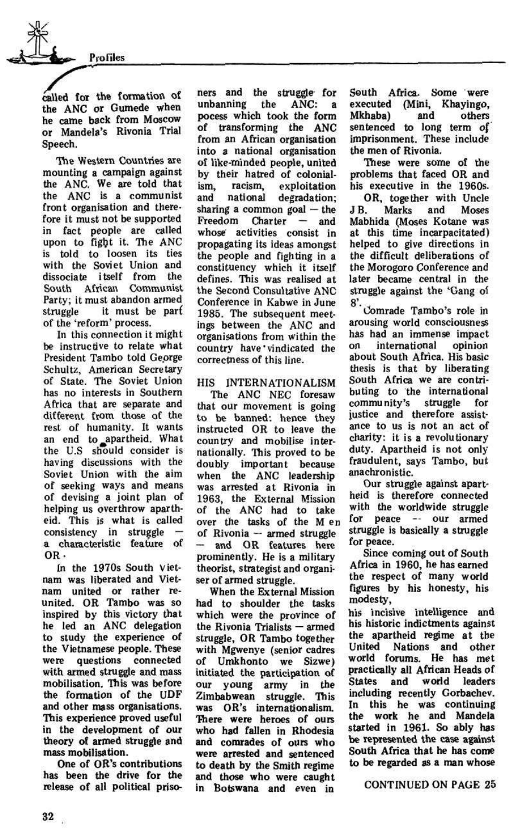Profiles

The Western Countries are mounting a campaign against the ANC. We are told that the ANC is a communist front organisation and therefore it must not be supported in fact people are called upon to fight it. The ANC is told to loosen its ties with the Soviet Union and dissociate itself from the South African Communist Party; it must abandon armed struggle it must be part of the 'reform' process.

called for the formation of the ANC or Gumede when he came back from Moscow or Mandela's Rivonia Trial Speech.

In this connection it might be instructive to relate what President Tambo told George Schultz, American Secretary of State. The Soviet Union has no interests in Southern Africa that are separate and different from those of the rest of humanity. It wants an end to apartheid. What the U.S should consider is having discussions with the Soviet Union with the aim of seeking ways and means of devising a joint plan of helping us overthrow apartheid. This is what is called consistency in struggle a characteristic feature of OR-

The ANC NEC foresaw that our movement is going to be banned: hence they instructed OR to leave the country and mobilise internationally. This proved to be doubly important because when the ANC leadership was arrested at Rivonia in 1963, the External Mission of the ANC had to take over the tasks of the M en of Rivonia — armed struggle — and OR features here prominently. He is a military theorist, strategist and organiser of armed struggle. When the External Mission had to shoulder the tasks which were the province of the Rivonia Trialists — armed struggle, OR Tambo together with Mgwenye (senior cadres of Umkhonto we Sizwe) initiated the participation of our young army in the Zimbabwean struggle. This zimpanwean struggie. Inis was OR's internationalism. There were heroes of ours who had fallen in Rhodesia and comrades of ours who were arrested and sentenced to death by the Smith regime and those who were caught<br>in Botswana and even in

In the 1970s South Vietnam was liberated and Vietnam united or rather reunited. OR Tambo was so inspired by this victory that he led an ANC delegation to study the experience of the Vietnamese people. These were questions connected with armed struggle and mass mobilisation. This was before the formation of the UDF and other mass organisations. This experience proved useful in the development of our theory of armed struggle and mass mobilisation.

One of OR's contributions has been the drive for the release of all political priso-

ners and the struggle for unbanning the ANC: a pocess which took the form of transforming the ANC from an African organisation into a national organisation of like-minded people, united by their hatred of colonialism, racism, exploitation and national degradation; sharing a common goal — the Freedom Charter — and whose activities consist in propagating its ideas amongst the people and fighting in a constituency which it itself defines. This was realised at the Second Consultative ANC Conference in Kabwe in June 1985. The subsequent meetings between the ANC and organisations from within the country have'vindicated the correctness of this line.

8'. Comrade Tambo's role in arousing world consciousness has had an immense impact on international opinion about South Africa. His basic thesis is that by liberating South Africa we are contributing to the international community's struggle for justice and therefore assistance to us is not an act of charity: it is a revolutionary duty. Apartheid is not only fraudulent, says Tambo, but anachronistic.

# HIS INTERNATIONALISM

South Africa. Some were executed (Mini, Khayingo, Mkhaba) and others sentenced to long term of imprisonment. These include the men of Rivonia.

These were some of the problems that faced OR and his executive in the 1960s.

OR, together with Uncle J B. Marks and Moses Mabhida (Moses Kotane was at this time incarpacitated) helped to give directions in the difficult deliberations of the Morogoro Conference and later became central in the struggle against the 'Gang of

Our struggle against apartheid is therefore connected with the worldwide struggle for peace — our armed struggle is basically a struggle for peace.

Since coming out of South Africa in 1960, he has earned the respect of many world figures by his honesty, his modesty, his incisive intelligence and his historic indictments against the apartheid regime at the United Nations and other world forums. He has met practically all African Heads of States and world leaders including recently Gorbachev. In this he was continuing the work he and Mandela started in 1961. So ably has be represented the case against South Africa that he has come to be regarded as a man whose

CONTINUED ON PAGE 25